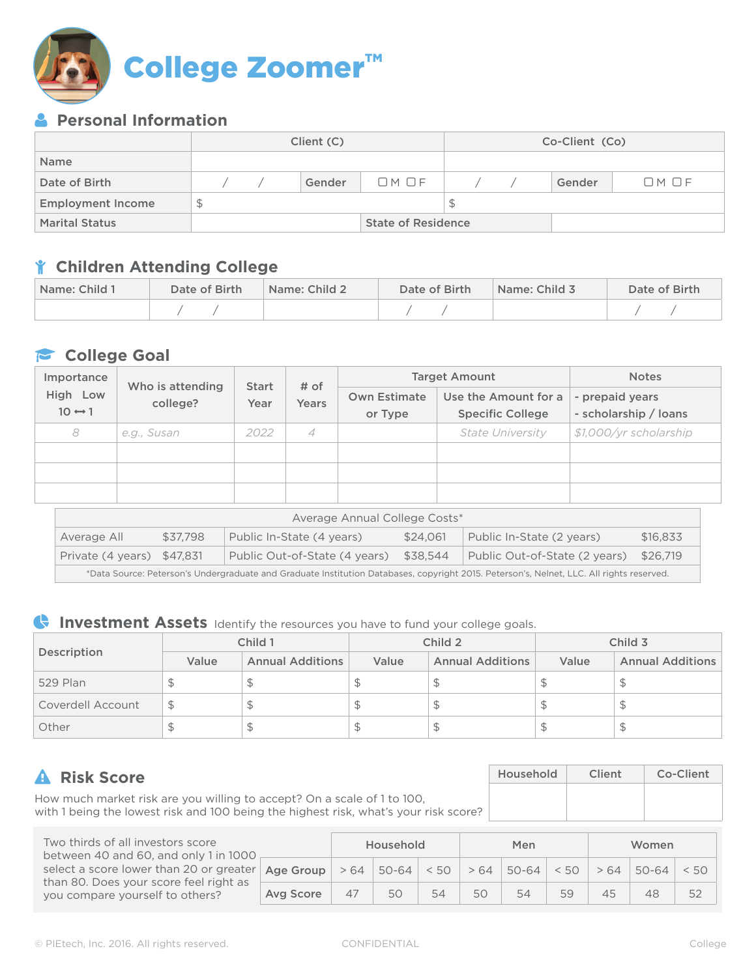

## **Personal Information**

|                          | Client (C) |  |  |  |        |                           | Co-Client (Co) |  |        |           |  |
|--------------------------|------------|--|--|--|--------|---------------------------|----------------|--|--------|-----------|--|
| <b>Name</b>              |            |  |  |  |        |                           |                |  |        |           |  |
| Date of Birth            |            |  |  |  | Gender | OMOF                      |                |  | Gender | $OM$ $OF$ |  |
| <b>Employment Income</b> | S          |  |  |  |        |                           | S              |  |        |           |  |
| <b>Marital Status</b>    |            |  |  |  |        | <b>State of Residence</b> |                |  |        |           |  |

## **Children Attending College**

| Name: Child 1 | Date of Birth | Name: Child 2 | Date of Birth | Name: Child 3 | Date of Birth |  |
|---------------|---------------|---------------|---------------|---------------|---------------|--|
|               |               |               |               |               |               |  |

## **College Goal**

| Importance<br>Who is attending<br><b>High</b><br>Low |             | <b>Start</b> | # of<br>Years |                     | <b>Target Amount</b>    | <b>Notes</b>           |  |
|------------------------------------------------------|-------------|--------------|---------------|---------------------|-------------------------|------------------------|--|
|                                                      | college?    | Year         |               | <b>Own Estimate</b> | Use the Amount for a    | - prepaid years        |  |
| $10 \leftrightarrow 1$                               |             |              |               | or Type             | <b>Specific College</b> | - scholarship / loans  |  |
| 8                                                    | e.g., Susan | 2022         | 4             |                     | <b>State University</b> | \$1,000/yr scholarship |  |
|                                                      |             |              |               |                     |                         |                        |  |
|                                                      |             |              |               |                     |                         |                        |  |
|                                                      |             |              |               |                     |                         |                        |  |

| Average Annual College Costs*                                                                                                            |                                                                                            |  |  |  |  |  |  |  |  |
|------------------------------------------------------------------------------------------------------------------------------------------|--------------------------------------------------------------------------------------------|--|--|--|--|--|--|--|--|
| Average All                                                                                                                              | \$24.061<br>Public In-State (4 years)<br>Public In-State (2 years)<br>\$37.798<br>\$16,833 |  |  |  |  |  |  |  |  |
| Public Out-of-State (2 years)<br>Public Out-of-State (4 years)<br>\$38.544<br>Private (4 years) \$47,831<br>\$26.719                     |                                                                                            |  |  |  |  |  |  |  |  |
| *Data Source: Peterson's Undergraduate and Graduate Institution Databases, copyright 2015. Peterson's, Nelnet, LLC. All rights reserved. |                                                                                            |  |  |  |  |  |  |  |  |

## **Investment Assets** Identify the resources you have to fund your college goals.

| Description       |       | Child 1                 |       | Child 2                 | Child 3 |                         |
|-------------------|-------|-------------------------|-------|-------------------------|---------|-------------------------|
|                   | Value | <b>Annual Additions</b> | Value | <b>Annual Additions</b> | Value   | <b>Annual Additions</b> |
| 529 Plan          |       |                         |       |                         |         | ۰D                      |
| Coverdell Account |       |                         |       | D                       |         | ۰D                      |
| Other             |       |                         |       | Ψ                       |         | Ъ                       |

| <b>A</b> Risk Score                                                                                                                                             | Household | Client | Co-Client |  |
|-----------------------------------------------------------------------------------------------------------------------------------------------------------------|-----------|--------|-----------|--|
| How much market risk are you willing to accept? On a scale of 1 to 100,<br>with 1 being the lowest risk and 100 being the highest risk, what's your risk score? |           |        |           |  |

| Two thirds of all investors score<br>between 40 and 60, and only 1 in 1000                                                       |           |    | Household                   |    | Men<br>Women |           |      |     |           |      |
|----------------------------------------------------------------------------------------------------------------------------------|-----------|----|-----------------------------|----|--------------|-----------|------|-----|-----------|------|
| select a score lower than 20 or greater   Age Group<br>than 80. Does your score feel right as<br>you compare yourself to others? |           |    | $>64$   50-64   < 50   > 64 |    |              | $50 - 64$ | < 50 | >64 | $50 - 64$ | < 50 |
|                                                                                                                                  | Avg Score | 47 | 50                          | 54 | 50           | 54        | 59   | 45  | 48        | 52   |